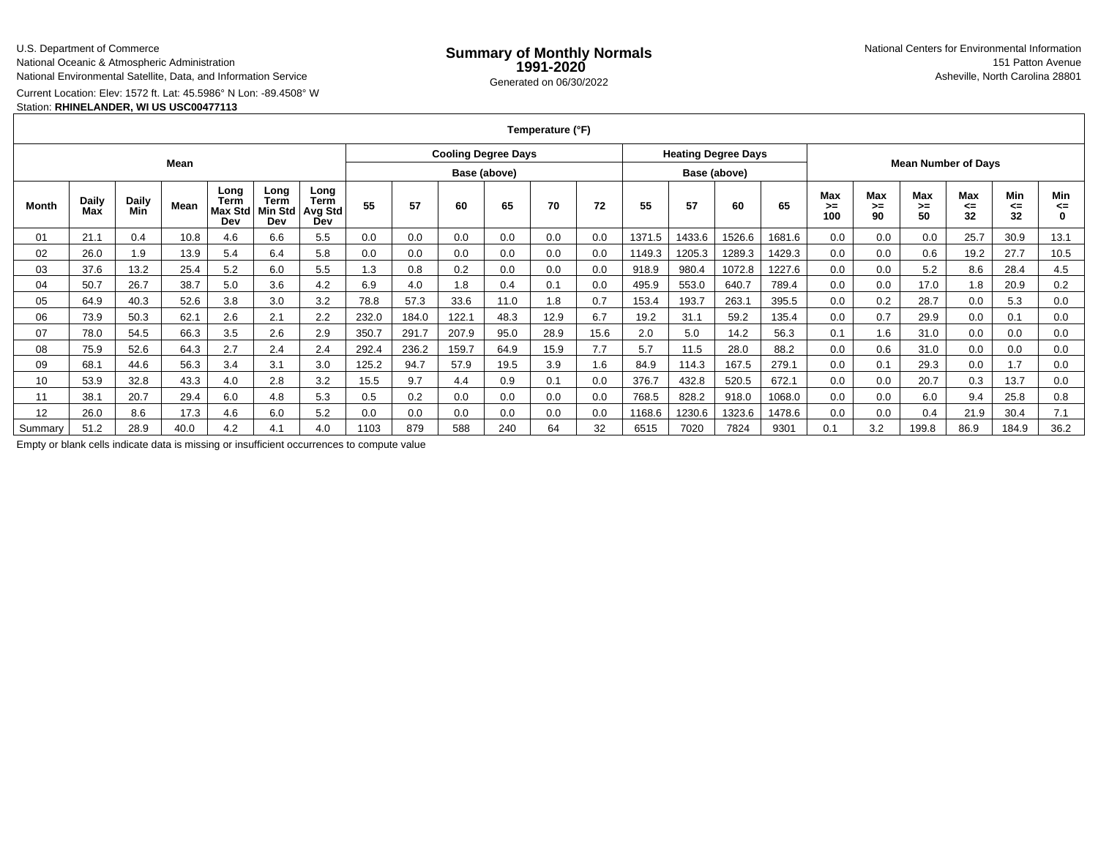U.S. Department of Commerce

National Oceanic & Atmospheric Administration

National Environmental Satellite, Data, and Information Service

Current Location: Elev: 1572 ft. Lat: 45.5986° N Lon: -89.4508° W

# Station: **RHINELANDER, WI US USC00477113**

**Temperature (°F)**

| Mean    |                     |              |      |                                |                                |                                              |              | <b>Cooling Degree Days</b> |       |      |      |              |        | <b>Heating Degree Days</b> |        |        |                         | <b>Mean Number of Days</b> |                        |                 |                 |                |
|---------|---------------------|--------------|------|--------------------------------|--------------------------------|----------------------------------------------|--------------|----------------------------|-------|------|------|--------------|--------|----------------------------|--------|--------|-------------------------|----------------------------|------------------------|-----------------|-----------------|----------------|
|         |                     |              |      |                                |                                |                                              | Base (above) |                            |       |      |      | Base (above) |        |                            |        |        |                         |                            |                        |                 |                 |                |
| Month   | <b>Daily</b><br>Max | Daily<br>Min | Mean | Long<br>Term<br>Max Std<br>Dev | Long<br>Term<br>Min Std<br>Dev | Long<br><b>Term</b><br><b>Avg Std</b><br>Dev | 55           | 57                         | 60    | 65   | 70   | 72           | 55     | 57                         | 60     | 65     | <b>Max</b><br>>≕<br>100 | Max<br>$>=$<br>90          | <b>Max</b><br>≻=<br>50 | Max<br><=<br>32 | Min<br><=<br>32 | Min<br><=<br>0 |
| 01      | 21.1                | 0.4          | 10.8 | 4.6                            | 6.6                            | 5.5                                          | 0.0          | 0.0                        | 0.0   | 0.0  | 0.0  | 0.0          | 1371.5 | 1433.6                     | 1526.6 | 1681.6 | 0.0                     | 0.0                        | 0.0                    | 25.7            | 30.9            | 13.1           |
| 02      | 26.0                | .9           | 13.9 | 5.4                            | 6.4                            | 5.8                                          | 0.0          | 0.0                        | 0.0   | 0.0  | 0.0  | 0.0          | 1149.3 | 1205.3                     | 1289.3 | 1429.3 | 0.0                     | 0.0                        | 0.6                    | 19.2            | 27.7            | 10.5           |
| 03      | 37.6                | 13.2         | 25.4 | 5.2                            | 6.0                            | 5.5                                          | 1.3          | 0.8                        | 0.2   | 0.0  | 0.0  | 0.0          | 918.9  | 980.4                      | 1072.8 | 1227.6 | 0.0                     | 0.0                        | 5.2                    | 8.6             | 28.4            | 4.5            |
| 04      | 50.7                | 26.7         | 38.7 | 5.0                            | 3.6                            | 4.2                                          | 6.9          | 4.0                        | 1.8   | 0.4  | 0.1  | 0.0          | 495.9  | 553.0                      | 640.7  | 789.4  | 0.0                     | 0.0                        | 17.0                   | 1.8             | 20.9            | 0.2            |
| 05      | 64.9                | 40.3         | 52.6 | 3.8                            | 3.0                            | 3.2                                          | 78.8         | 57.3                       | 33.6  | 11.0 | 1.8  | 0.7          | 153.4  | 193.7                      | 263.7  | 395.5  | 0.0                     | 0.2                        | 28.7                   | 0.0             | 5.3             | 0.0            |
| 06      | 73.9                | 50.3         | 62.1 | 2.6                            | 2.1                            | 2.2                                          | 232.0        | 184.0                      | 122.1 | 48.3 | 12.9 | 6.7          | 19.2   | 31.1                       | 59.2   | 135.4  | 0.0                     | 0.7                        | 29.9                   | 0.0             | 0.1             | 0.0            |
| 07      | 78.0                | 54.5         | 66.3 | 3.5                            | 2.6                            | 2.9                                          | 350.7        | 291.7                      | 207.9 | 95.0 | 28.9 | 15.6         | 2.0    | 5.0                        | 14.2   | 56.3   | 0.1                     | 1.6                        | 31.0                   | 0.0             | 0.0             | 0.0            |
| 08      | 75.9                | 52.6         | 64.3 | 2.7                            | 2.4                            | 2.4                                          | 292.4        | 236.2                      | 159.7 | 64.9 | 15.9 | 7.7          | 5.7    | 11.5                       | 28.0   | 88.2   | 0.0                     | 0.6                        | 31.0                   | 0.0             | 0.0             | 0.0            |
| 09      | 68.1                | 44.6         | 56.3 | 3.4                            | 3.1                            | 3.0                                          | 125.2        | 94.7                       | 57.9  | 19.5 | 3.9  | 1.6          | 84.9   | 114.3                      | 167.5  | 279.1  | 0.0                     | 0.1                        | 29.3                   | 0.0             | 1.7             | 0.0            |
| 10      | 53.9                | 32.8         | 43.3 | 4.0                            | 2.8                            | 3.2                                          | 15.5         | 9.7                        | 4.4   | 0.9  | 0.1  | 0.0          | 376.7  | 432.8                      | 520.5  | 672.1  | 0.0                     | 0.0                        | 20.7                   | 0.3             | 13.7            | 0.0            |
| 11      | 38.1                | 20.7         | 29.4 | 6.0                            | 4.8                            | 5.3                                          | 0.5          | 0.2                        | 0.0   | 0.0  | 0.0  | 0.0          | 768.5  | 828.2                      | 918.0  | 1068.0 | 0.0                     | 0.0                        | 6.0                    | 9.4             | 25.8            | 0.8            |
| 12      | 26.0                | 8.6          | 17.3 | 4.6                            | 6.0                            | 5.2                                          | 0.0          | 0.0                        | 0.0   | 0.0  | 0.0  | 0.0          | 1168.6 | 1230.6                     | 1323.6 | 1478.6 | 0.0                     | 0.0                        | 0.4                    | 21.9            | 30.4            | 7.1            |
| Summary | 51.2                | 28.9         | 40.0 | 4.2                            | 4.1                            | 4.0                                          | 1103         | 879                        | 588   | 240  | 64   | 32           | 6515   | 7020                       | 7824   | 9301   | 0.1                     | 3.2                        | 199.8                  | 86.9            | 184.9           | 36.2           |

Empty or blank cells indicate data is missing or insufficient occurrences to compute value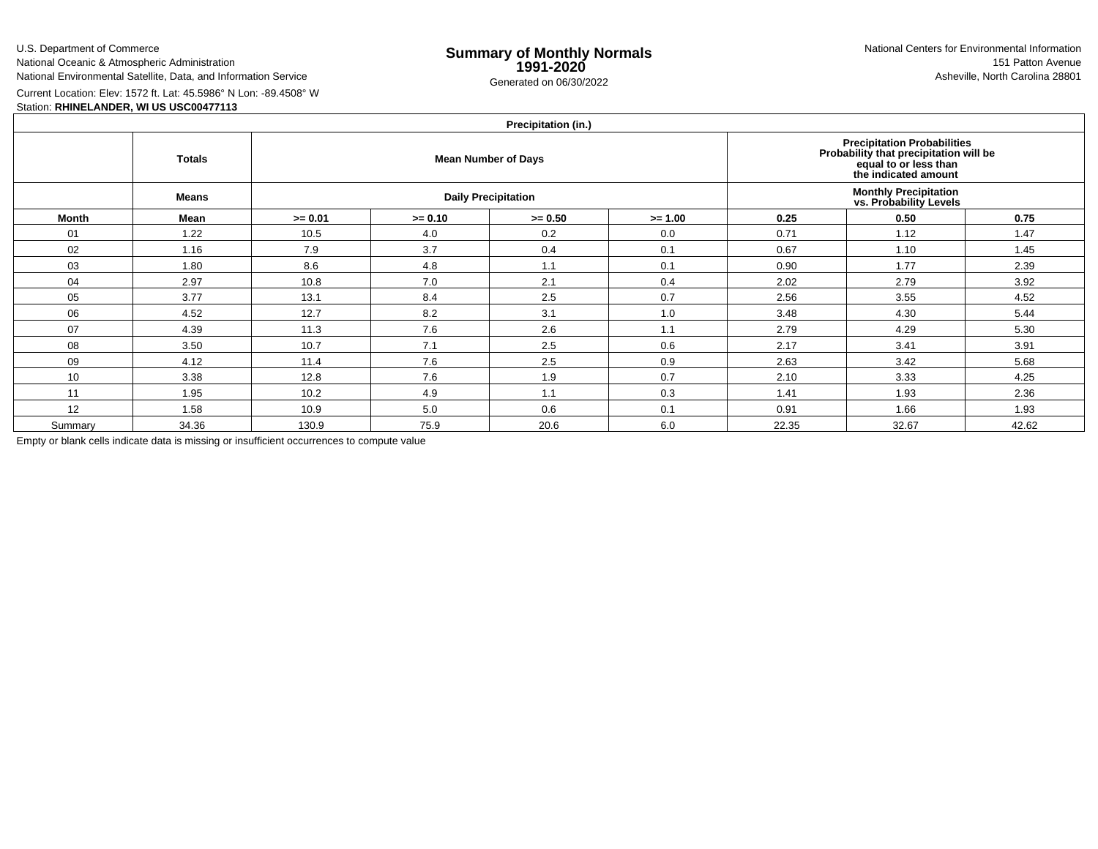U.S. Department of CommerceNational Oceanic & Atmospheric Administration

National Environmental Satellite, Data, and Information Service

e **Summary of Monthly Normals**<br> **1991-2020** 151 Patton Avenue **1991-2020** 1997-2020 e Generated on 06/30/2022 Asheville, North Carolina 28801 National Centers for Environmental Information151 Patton Avenue

Current Location: Elev: 1572 ft. Lat: 45.5986° N Lon: -89.4508° W

# Station: **RHINELANDER, WI US USC00477113**

### **Precipitation (in.)**

|         | <b>Totals</b> |           |           | $\cdots$<br><b>Mean Number of Days</b> | Precipitation Probabilities<br>Probability that precipitation will be<br>equal to or less than<br>the indicated amount |                                                         |       |       |  |  |  |
|---------|---------------|-----------|-----------|----------------------------------------|------------------------------------------------------------------------------------------------------------------------|---------------------------------------------------------|-------|-------|--|--|--|
|         | <b>Means</b>  |           |           | <b>Daily Precipitation</b>             |                                                                                                                        | <b>Monthly Precipitation<br/>vs. Probability Levels</b> |       |       |  |  |  |
| Month   | Mean          | $>= 0.01$ | $>= 0.10$ | $>= 0.50$                              | $>= 1.00$                                                                                                              | 0.25                                                    | 0.50  | 0.75  |  |  |  |
| 01      | 1.22          | 10.5      | 4.0       | 0.2                                    | 0.0                                                                                                                    | 0.71                                                    | 1.12  | 1.47  |  |  |  |
| 02      | 1.16          | 7.9       | 3.7       | 0.4                                    | 0.1                                                                                                                    | 0.67                                                    | 1.10  | 1.45  |  |  |  |
| 03      | 1.80          | 8.6       | 4.8       | 1.1                                    | 0.1                                                                                                                    | 0.90                                                    | 1.77  | 2.39  |  |  |  |
| 04      | 2.97          | 10.8      | 7.0       | 2.1                                    | 0.4                                                                                                                    | 2.02                                                    | 2.79  | 3.92  |  |  |  |
| 05      | 3.77          | 13.1      | 8.4       | 2.5                                    | 0.7                                                                                                                    | 2.56                                                    | 3.55  | 4.52  |  |  |  |
| 06      | 4.52          | 12.7      | 8.2       | 3.1                                    | 1.0                                                                                                                    | 3.48                                                    | 4.30  | 5.44  |  |  |  |
| 07      | 4.39          | 11.3      | 7.6       | 2.6                                    | 1.1                                                                                                                    | 2.79                                                    | 4.29  | 5.30  |  |  |  |
| 08      | 3.50          | 10.7      | 7.1       | 2.5                                    | 0.6                                                                                                                    | 2.17                                                    | 3.41  | 3.91  |  |  |  |
| 09      | 4.12          | 11.4      | 7.6       | 2.5                                    | 0.9                                                                                                                    | 2.63                                                    | 3.42  | 5.68  |  |  |  |
| 10      | 3.38          | 12.8      | 7.6       | 1.9                                    | 0.7                                                                                                                    | 2.10                                                    | 3.33  | 4.25  |  |  |  |
| 11      | 1.95          | 10.2      | 4.9       | 1.1                                    | 0.3                                                                                                                    | 1.41                                                    | 1.93  | 2.36  |  |  |  |
| 12      | 1.58          | 10.9      | 5.0       | 0.6                                    | 0.1                                                                                                                    | 0.91                                                    | 1.66  | 1.93  |  |  |  |
| Summary | 34.36         | 130.9     | 75.9      | 20.6                                   | 6.0                                                                                                                    | 22.35                                                   | 32.67 | 42.62 |  |  |  |

Empty or blank cells indicate data is missing or insufficient occurrences to compute value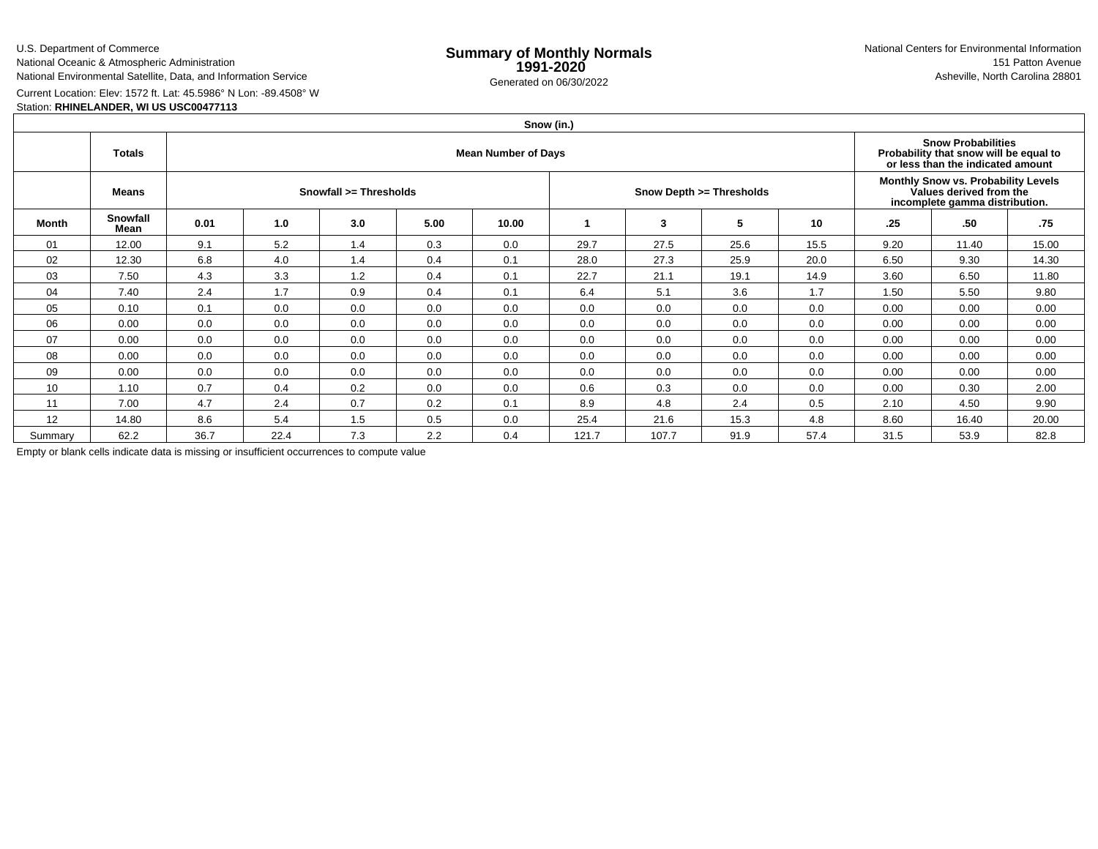U.S. Department of Commerce

National Oceanic & Atmospheric AdministrationNational Environmental Satellite, Data, and Information Service

e **Summary of Monthly Normals**<br> **1991-2020** 151 Patton Avenue **1991-2020** 1997-2020 e Generated on 06/30/2022 Asheville, North Carolina 28801 National Centers for Environmental Information151 Patton Avenue

Current Location: Elev: 1572 ft. Lat: 45.5986° N Lon: -89.4508° W

# Station: **RHINELANDER, WI US USC00477113**

|         | Snow (in.)       |                            |      |     |      |       |       |       |                          |      |                                                                                                  |                                                                                                          |       |  |  |
|---------|------------------|----------------------------|------|-----|------|-------|-------|-------|--------------------------|------|--------------------------------------------------------------------------------------------------|----------------------------------------------------------------------------------------------------------|-------|--|--|
|         | <b>Totals</b>    | <b>Mean Number of Days</b> |      |     |      |       |       |       |                          |      |                                                                                                  | <b>Snow Probabilities</b><br>Probability that snow will be equal to<br>or less than the indicated amount |       |  |  |
|         | Means            | Snowfall >= Thresholds     |      |     |      |       |       |       | Snow Depth >= Thresholds |      | Monthly Snow vs. Probability Levels<br>Values derived from the<br>incomplete gamma distribution. |                                                                                                          |       |  |  |
| Month   | Snowfall<br>Mean | 0.01                       | 1.0  | 3.0 | 5.00 | 10.00 |       | 3     | 5                        | 10   | .25                                                                                              | .50                                                                                                      | .75   |  |  |
| 01      | 12.00            | 9.1                        | 5.2  | 1.4 | 0.3  | 0.0   | 29.7  | 27.5  | 25.6                     | 15.5 | 9.20                                                                                             | 11.40                                                                                                    | 15.00 |  |  |
| 02      | 12.30            | 6.8                        | 4.0  | 1.4 | 0.4  | 0.1   | 28.0  | 27.3  | 25.9                     | 20.0 | 6.50                                                                                             | 9.30                                                                                                     | 14.30 |  |  |
| 03      | 7.50             | 4.3                        | 3.3  | 1.2 | 0.4  | 0.1   | 22.7  | 21.1  | 19.1                     | 14.9 | 3.60                                                                                             | 6.50                                                                                                     | 11.80 |  |  |
| 04      | 7.40             | 2.4                        | 1.7  | 0.9 | 0.4  | 0.1   | 6.4   | 5.1   | 3.6                      | 1.7  | 1.50                                                                                             | 5.50                                                                                                     | 9.80  |  |  |
| 05      | 0.10             | 0.1                        | 0.0  | 0.0 | 0.0  | 0.0   | 0.0   | 0.0   | 0.0                      | 0.0  | 0.00                                                                                             | 0.00                                                                                                     | 0.00  |  |  |
| 06      | 0.00             | 0.0                        | 0.0  | 0.0 | 0.0  | 0.0   | 0.0   | 0.0   | 0.0                      | 0.0  | 0.00                                                                                             | 0.00                                                                                                     | 0.00  |  |  |
| 07      | 0.00             | 0.0                        | 0.0  | 0.0 | 0.0  | 0.0   | 0.0   | 0.0   | 0.0                      | 0.0  | 0.00                                                                                             | 0.00                                                                                                     | 0.00  |  |  |
| 08      | 0.00             | 0.0                        | 0.0  | 0.0 | 0.0  | 0.0   | 0.0   | 0.0   | 0.0                      | 0.0  | 0.00                                                                                             | 0.00                                                                                                     | 0.00  |  |  |
| 09      | 0.00             | 0.0                        | 0.0  | 0.0 | 0.0  | 0.0   | 0.0   | 0.0   | 0.0                      | 0.0  | 0.00                                                                                             | 0.00                                                                                                     | 0.00  |  |  |
| 10      | 1.10             | 0.7                        | 0.4  | 0.2 | 0.0  | 0.0   | 0.6   | 0.3   | 0.0                      | 0.0  | 0.00                                                                                             | 0.30                                                                                                     | 2.00  |  |  |
| 11      | 7.00             | 4.7                        | 2.4  | 0.7 | 0.2  | 0.1   | 8.9   | 4.8   | 2.4                      | 0.5  | 2.10                                                                                             | 4.50                                                                                                     | 9.90  |  |  |
| 12      | 14.80            | 8.6                        | 5.4  | 1.5 | 0.5  | 0.0   | 25.4  | 21.6  | 15.3                     | 4.8  | 8.60                                                                                             | 16.40                                                                                                    | 20.00 |  |  |
| Summary | 62.2             | 36.7                       | 22.4 | 7.3 | 2.2  | 0.4   | 121.7 | 107.7 | 91.9                     | 57.4 | 31.5                                                                                             | 53.9                                                                                                     | 82.8  |  |  |

Empty or blank cells indicate data is missing or insufficient occurrences to compute value